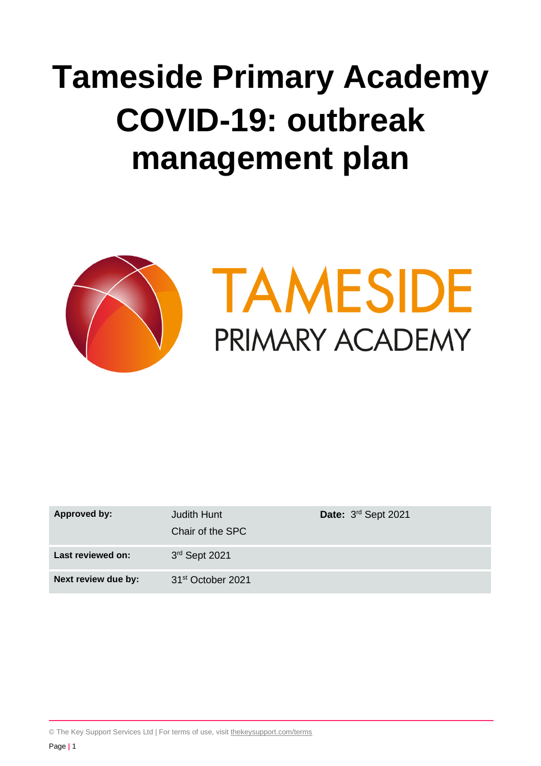# **Tameside Primary Academy COVID-19: outbreak management plan**



| Approved by:        | Judith Hunt<br>Chair of the SPC | Date: 3rd Sept 2021 |
|---------------------|---------------------------------|---------------------|
| Last reviewed on:   | 3rd Sept 2021                   |                     |
| Next review due by: | 31 <sup>st</sup> October 2021   |                     |

© The Key Support Services Ltd | For terms of use, visit [thekeysupport.com/terms](https://thekeysupport.com/terms-of-use)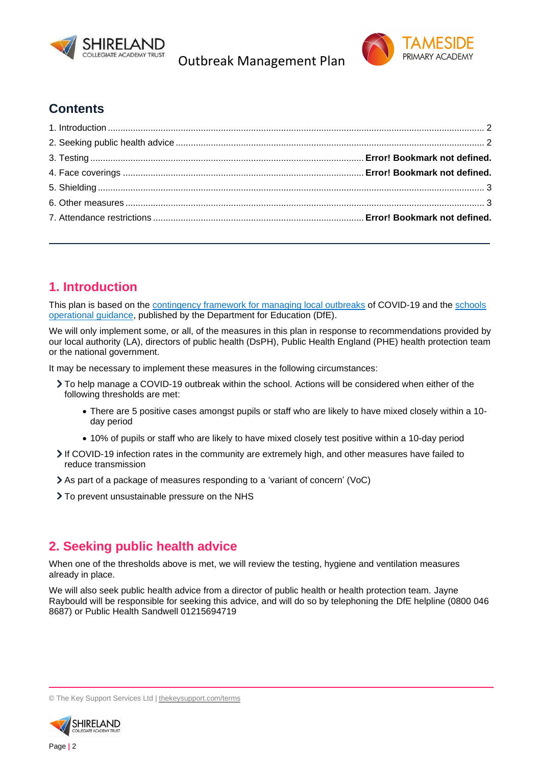

Outbreak Management Plan



# **Contents**

# **1. Introduction**

This plan is based on the **contingency framework for managing local outbreaks** of COVID-19 and the **schools** operational guidance, published by the Department for Education (DfE).

We will only implement some, or all, of the measures in this plan in response to recommendations provided by our local authority (LA), directors of public health (DsPH), Public Health England (PHE) health protection team or the national government.

It may be necessary to implement these measures in the following circumstances:

- To help manage a COVID-19 outbreak within the school. Actions will be considered when either of the following thresholds are met:
	- There are 5 positive cases amongst pupils or staff who are likely to have mixed closely within a 10 day period
	- 10% of pupils or staff who are likely to have mixed closely test positive within a 10-day period
- If COVID-19 infection rates in the community are extremely high, and other measures have failed to reduce transmission
- As part of a package of measures responding to a 'variant of concern' (VoC)
- > To prevent unsustainable pressure on the NHS

## **2. Seeking public health advice**

When one of the thresholds above is met, we will review the testing, hygiene and ventilation measures already in place.

We will also seek public health advice from a director of public health or health protection team. Jayne Raybould will be responsible for seeking this advice, and will do so by telephoning the DfE helpline (0800 046 8687) or Public Health Sandwell 01215694719

<sup>©</sup> The Key Support Services Ltd | thekeysupport.com/terms

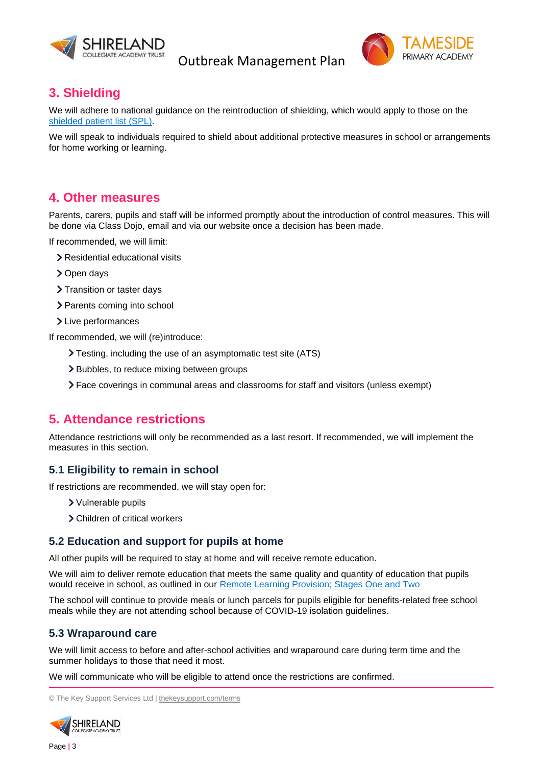

Outbreak Management Plan



## **3. Shielding**

We will adhere to national guidance on the reintroduction of shielding, which would apply to those on the shielded patient list (SPL).

We will speak to individuals required to shield about additional protective measures in school or arrangements for home working or learning.

#### **4. Other measures**

Parents, carers, pupils and staff will be informed promptly about the introduction of control measures. This will be done via Class Dojo, email and via our website once a decision has been made.

If recommended, we will limit:

- > Residential educational visits
- > Open days
- > Transition or taster days
- > Parents coming into school
- > Live performances

If recommended, we will (re)introduce:

- Testing, including the use of an asymptomatic test site (ATS)
- > Bubbles, to reduce mixing between groups
- Face coverings in communal areas and classrooms for staff and visitors (unless exempt)

## **5. Attendance restrictions**

Attendance restrictions will only be recommended as a last resort. If recommended, we will implement the measures in this section.

#### **5.1 Eligibility to remain in school**

If restrictions are recommended, we will stay open for:

- Vulnerable pupils
- Children of critical workers

#### **5.2 Education and support for pupils at home**

All other pupils will be required to stay at home and will receive remote education.

We will aim to deliver remote education that meets the same quality and quantity of education that pupils would receive in school, as outlined in our Remote Learning Provision; Stages One and Two

The school will continue to provide meals or lunch parcels for pupils eligible for benefits-related free school meals while they are not attending school because of COVID-19 isolation guidelines.

#### **5.3 Wraparound care**

We will limit access to before and after-school activities and wraparound care during term time and the summer holidays to those that need it most.

We will communicate who will be eligible to attend once the restrictions are confirmed.

© The Key Support Services Ltd | thekeysupport.com/terms